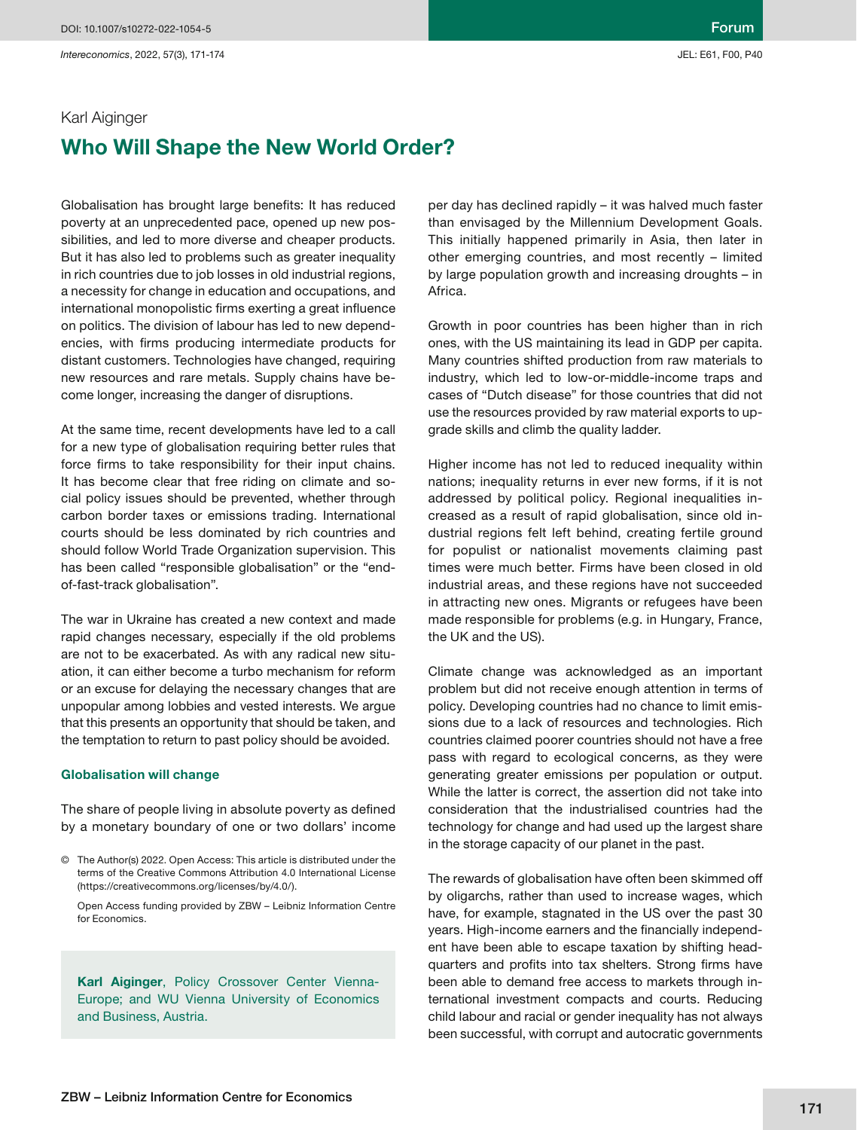# Karl Aiginger Who Will Shape the New World Order?

Globalisation has brought large benefits: It has reduced poverty at an unprecedented pace, opened up new possibilities, and led to more diverse and cheaper products. But it has also led to problems such as greater inequality in rich countries due to job losses in old industrial regions, a necessity for change in education and occupations, and international monopolistic firms exerting a great influence on politics. The division of labour has led to new dependencies, with firms producing intermediate products for distant customers. Technologies have changed, requiring new resources and rare metals. Supply chains have become longer, increasing the danger of disruptions.

At the same time, recent developments have led to a call for a new type of globalisation requiring better rules that force firms to take responsibility for their input chains. It has become clear that free riding on climate and social policy issues should be prevented, whether through carbon border taxes or emissions trading. International courts should be less dominated by rich countries and should follow World Trade Organization supervision. This has been called "responsible globalisation" or the "endof-fast-track globalisation".

The war in Ukraine has created a new context and made rapid changes necessary, especially if the old problems are not to be exacerbated. As with any radical new situation, it can either become a turbo mechanism for reform or an excuse for delaying the necessary changes that are unpopular among lobbies and vested interests. We argue that this presents an opportunity that should be taken, and the temptation to return to past policy should be avoided.

#### Globalisation will change

The share of people living in absolute poverty as defined by a monetary boundary of one or two dollars' income

Karl Aiginger, Policy Crossover Center Vienna-Europe; and WU Vienna University of Economics and Business, Austria.

per day has declined rapidly – it was halved much faster than envisaged by the Millennium Development Goals. This initially happened primarily in Asia, then later in other emerging countries, and most recently – limited by large population growth and increasing droughts – in Africa.

Growth in poor countries has been higher than in rich ones, with the US maintaining its lead in GDP per capita. Many countries shifted production from raw materials to industry, which led to low-or-middle-income traps and cases of "Dutch disease" for those countries that did not use the resources provided by raw material exports to upgrade skills and climb the quality ladder.

Higher income has not led to reduced inequality within nations; inequality returns in ever new forms, if it is not addressed by political policy. Regional inequalities increased as a result of rapid globalisation, since old industrial regions felt left behind, creating fertile ground for populist or nationalist movements claiming past times were much better. Firms have been closed in old industrial areas, and these regions have not succeeded in attracting new ones. Migrants or refugees have been made responsible for problems (e.g. in Hungary, France, the UK and the US).

Climate change was acknowledged as an important problem but did not receive enough attention in terms of policy. Developing countries had no chance to limit emissions due to a lack of resources and technologies. Rich countries claimed poorer countries should not have a free pass with regard to ecological concerns, as they were generating greater emissions per population or output. While the latter is correct, the assertion did not take into consideration that the industrialised countries had the technology for change and had used up the largest share in the storage capacity of our planet in the past.

The rewards of globalisation have often been skimmed off by oligarchs, rather than used to increase wages, which have, for example, stagnated in the US over the past 30 years. High-income earners and the financially independent have been able to escape taxation by shifting headquarters and profits into tax shelters. Strong firms have been able to demand free access to markets through international investment compacts and courts. Reducing child labour and racial or gender inequality has not always been successful, with corrupt and autocratic governments

<sup>©</sup> The Author(s) 2022. Open Access: This article is distributed under the terms of the Creative Commons Attribution 4.0 International License (https://creativecommons.org/licenses/by/4.0/).

Open Access funding provided by ZBW – Leibniz Information Centre for Economics.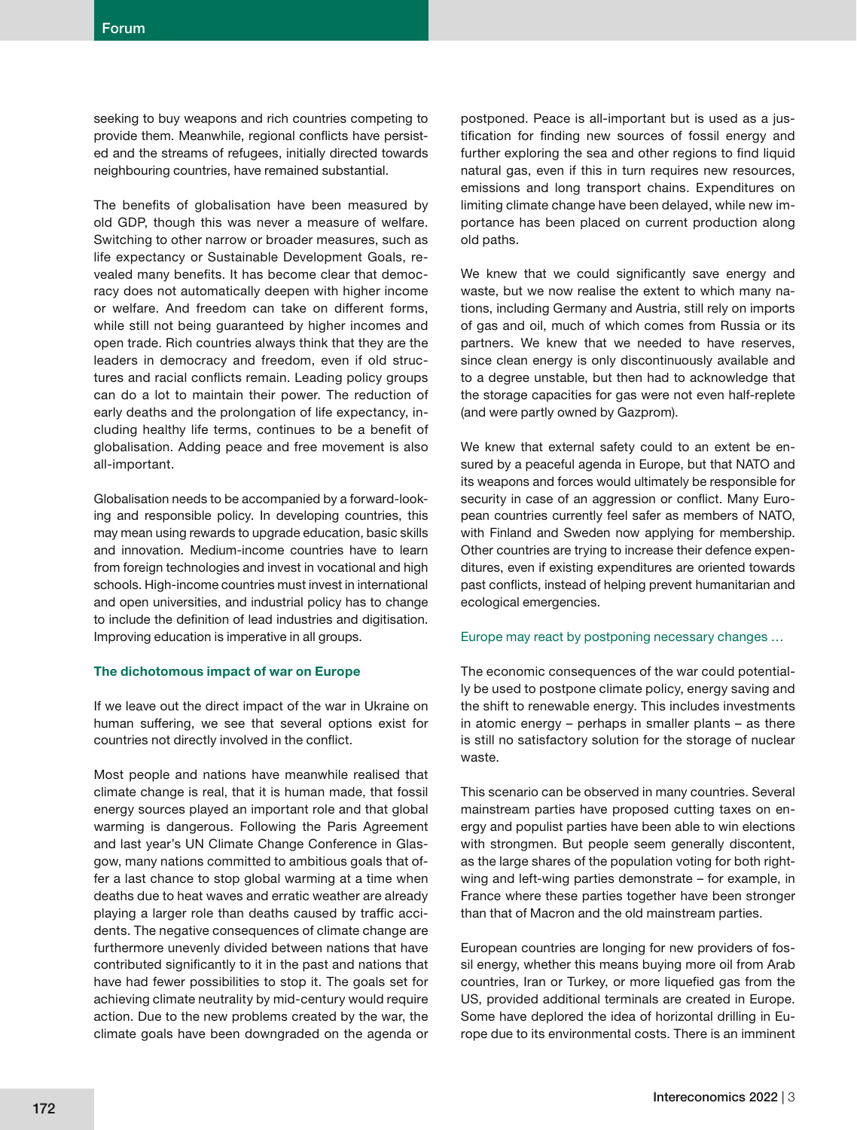seeking to buy weapons and rich countries competing to provide them. Meanwhile, regional conflicts have persisted and the streams of refugees, initially directed towards neighbouring countries, have remained substantial.

The benefits of globalisation have been measured by old GDP, though this was never a measure of welfare. Switching to other narrow or broader measures, such as life expectancy or Sustainable Development Goals, revealed many benefits. It has become clear that democracy does not automatically deepen with higher income or welfare. And freedom can take on different forms, while still not being guaranteed by higher incomes and open trade. Rich countries always think that they are the leaders in democracy and freedom, even if old structures and racial conflicts remain. Leading policy groups can do a lot to maintain their power. The reduction of early deaths and the prolongation of life expectancy, including healthy life terms, continues to be a benefit of globalisation. Adding peace and free movement is also all-important.

Globalisation needs to be accompanied by a forward-looking and responsible policy. In developing countries, this may mean using rewards to upgrade education, basic skills and innovation. Medium-income countries have to learn from foreign technologies and invest in vocational and high schools. High-income countries must invest in international and open universities, and industrial policy has to change to include the definition of lead industries and digitisation. Improving education is imperative in all groups.

### The dichotomous impact of war on Europe

If we leave out the direct impact of the war in Ukraine on human suffering, we see that several options exist for countries not directly involved in the conflict.

Most people and nations have meanwhile realised that climate change is real, that it is human made, that fossil energy sources played an important role and that global warming is dangerous. Following the Paris Agreement and last year's UN Climate Change Conference in Glasgow, many nations committed to ambitious goals that offer a last chance to stop global warming at a time when deaths due to heat waves and erratic weather are already playing a larger role than deaths caused by traffic accidents. The negative consequences of climate change are furthermore unevenly divided between nations that have contributed significantly to it in the past and nations that have had fewer possibilities to stop it. The goals set for achieving climate neutrality by mid-century would require action. Due to the new problems created by the war, the climate goals have been downgraded on the agenda or postponed. Peace is all-important but is used as a justification for finding new sources of fossil energy and further exploring the sea and other regions to find liquid natural gas, even if this in turn requires new resources, emissions and long transport chains. Expenditures on limiting climate change have been delayed, while new importance has been placed on current production along old paths.

We knew that we could significantly save energy and waste, but we now realise the extent to which many nations, including Germany and Austria, still rely on imports of gas and oil, much of which comes from Russia or its partners. We knew that we needed to have reserves, since clean energy is only discontinuously available and to a degree unstable, but then had to acknowledge that the storage capacities for gas were not even half-replete (and were partly owned by Gazprom).

We knew that external safety could to an extent be ensured by a peaceful agenda in Europe, but that NATO and its weapons and forces would ultimately be responsible for security in case of an aggression or conflict. Many European countries currently feel safer as members of NATO, with Finland and Sweden now applying for membership. Other countries are trying to increase their defence expenditures, even if existing expenditures are oriented towards past conflicts, instead of helping prevent humanitarian and ecological emergencies.

## Europe may react by postponing necessary changes …

The economic consequences of the war could potentially be used to postpone climate policy, energy saving and the shift to renewable energy. This includes investments in atomic energy – perhaps in smaller plants – as there is still no satisfactory solution for the storage of nuclear waste.

This scenario can be observed in many countries. Several mainstream parties have proposed cutting taxes on energy and populist parties have been able to win elections with strongmen. But people seem generally discontent, as the large shares of the population voting for both rightwing and left-wing parties demonstrate – for example, in France where these parties together have been stronger than that of Macron and the old mainstream parties.

European countries are longing for new providers of fossil energy, whether this means buying more oil from Arab countries, Iran or Turkey, or more liquefied gas from the US, provided additional terminals are created in Europe. Some have deplored the idea of horizontal drilling in Europe due to its environmental costs. There is an imminent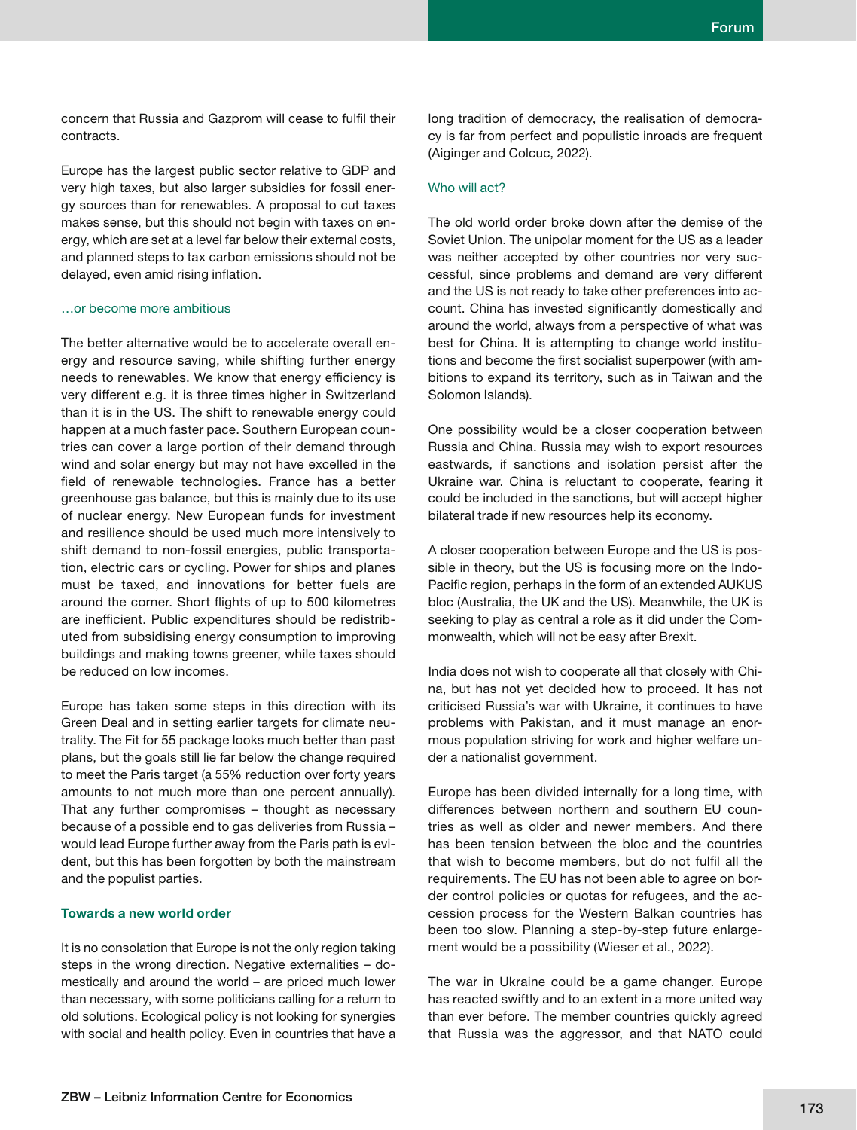concern that Russia and Gazprom will cease to fulfil their contracts.

Europe has the largest public sector relative to GDP and very high taxes, but also larger subsidies for fossil energy sources than for renewables. A proposal to cut taxes makes sense, but this should not begin with taxes on energy, which are set at a level far below their external costs, and planned steps to tax carbon emissions should not be delayed, even amid rising inflation.

### …or become more ambitious

The better alternative would be to accelerate overall energy and resource saving, while shifting further energy needs to renewables. We know that energy efficiency is very different e.g. it is three times higher in Switzerland than it is in the US. The shift to renewable energy could happen at a much faster pace. Southern European countries can cover a large portion of their demand through wind and solar energy but may not have excelled in the field of renewable technologies. France has a better greenhouse gas balance, but this is mainly due to its use of nuclear energy. New European funds for investment and resilience should be used much more intensively to shift demand to non-fossil energies, public transportation, electric cars or cycling. Power for ships and planes must be taxed, and innovations for better fuels are around the corner. Short flights of up to 500 kilometres are inefficient. Public expenditures should be redistributed from subsidising energy consumption to improving buildings and making towns greener, while taxes should be reduced on low incomes.

Europe has taken some steps in this direction with its Green Deal and in setting earlier targets for climate neutrality. The Fit for 55 package looks much better than past plans, but the goals still lie far below the change required to meet the Paris target (a 55% reduction over forty years amounts to not much more than one percent annually). That any further compromises – thought as necessary because of a possible end to gas deliveries from Russia – would lead Europe further away from the Paris path is evident, but this has been forgotten by both the mainstream and the populist parties.

#### Towards a new world order

It is no consolation that Europe is not the only region taking steps in the wrong direction. Negative externalities – domestically and around the world – are priced much lower than necessary, with some politicians calling for a return to old solutions. Ecological policy is not looking for synergies with social and health policy. Even in countries that have a long tradition of democracy, the realisation of democracy is far from perfect and populistic inroads are frequent (Aiginger and Colcuc, 2022).

### Who will act?

The old world order broke down after the demise of the Soviet Union. The unipolar moment for the US as a leader was neither accepted by other countries nor very successful, since problems and demand are very different and the US is not ready to take other preferences into account. China has invested significantly domestically and around the world, always from a perspective of what was best for China. It is attempting to change world institutions and become the first socialist superpower (with ambitions to expand its territory, such as in Taiwan and the Solomon Islands).

One possibility would be a closer cooperation between Russia and China. Russia may wish to export resources eastwards, if sanctions and isolation persist after the Ukraine war. China is reluctant to cooperate, fearing it could be included in the sanctions, but will accept higher bilateral trade if new resources help its economy.

A closer cooperation between Europe and the US is possible in theory, but the US is focusing more on the Indo-Pacific region, perhaps in the form of an extended AUKUS bloc (Australia, the UK and the US). Meanwhile, the UK is seeking to play as central a role as it did under the Commonwealth, which will not be easy after Brexit.

India does not wish to cooperate all that closely with China, but has not yet decided how to proceed. It has not criticised Russia's war with Ukraine, it continues to have problems with Pakistan, and it must manage an enormous population striving for work and higher welfare under a nationalist government.

Europe has been divided internally for a long time, with differences between northern and southern EU countries as well as older and newer members. And there has been tension between the bloc and the countries that wish to become members, but do not fulfil all the requirements. The EU has not been able to agree on border control policies or quotas for refugees, and the accession process for the Western Balkan countries has been too slow. Planning a step-by-step future enlargement would be a possibility (Wieser et al., 2022).

The war in Ukraine could be a game changer. Europe has reacted swiftly and to an extent in a more united way than ever before. The member countries quickly agreed that Russia was the aggressor, and that NATO could